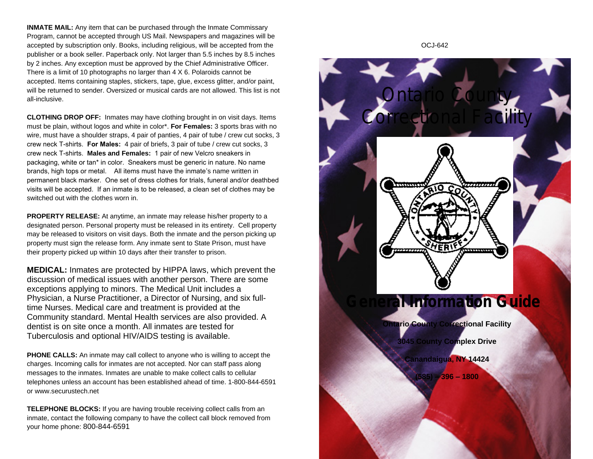**INMATE MAIL:** Any item that can be purchased through the Inmate Commissary Program, cannot be accepted through US Mail. Newspapers and magazines will be accepted by subscription only. Books, including religious, will be accepted from the publisher or a book seller. Paperback only. Not larger than 5.5 inches by 8.5 inches by 2 inches. Any exception must be approved by the Chief Administrative Officer. There is a limit of 10 photographs no larger than 4 X 6. Polaroids cannot be accepted. Items containing staples, stickers, tape, glue, excess glitter, and/or paint, will be returned to sender. Oversized or musical cards are not allowed. This list is not all-inclusive.

**CLOTHING DROP OFF:** Inmates may have clothing brought in on visit days. Items must be plain, without logos and white in color\*. **For Females:** 3 sports bras with no wire, must have a shoulder straps, 4 pair of panties, 4 pair of tube / crew cut socks, 3 crew neck T-shirts. **For Males:** 4 pair of briefs, 3 pair of tube / crew cut socks, 3 crew neck T-shirts. **Males and Females:** 1 pair of new Velcro sneakers in packaging, white or tan\* in color. Sneakers must be generic in nature. No name brands, high tops or metal. All items must have the inmate's name written in permanent black marker. One set of dress clothes for trials, funeral and/or deathbed visits will be accepted. If an inmate is to be released, a clean set of clothes may be switched out with the clothes worn in.

**PROPERTY RELEASE:** At anytime, an inmate may release his/her property to a designated person. Personal property must be released in its entirety. Cell property may be released to visitors on visit days. Both the inmate and the person picking up property must sign the release form. Any inmate sent to State Prison, must have their property picked up within 10 days after their transfer to prison.

**MEDICAL:** Inmates are protected by HIPPA laws, which prevent the discussion of medical issues with another person. There are some exceptions applying to minors. The Medical Unit includes a Physician, a Nurse Practitioner, a Director of Nursing, and six fulltime Nurses. Medical care and treatment is provided at the Community standard. Mental Health services are also provided. A dentist is on site once a month. All inmates are tested for Tuberculosis and optional HIV/AIDS testing is available.

**PHONE CALLS:** An inmate may call collect to anyone who is willing to accept the charges. Incoming calls for inmates are not accepted. Nor can staff pass along messages to the inmates. Inmates are unable to make collect calls to cellular telephones unless an account has been established ahead of time. 1-800-844-6591 or www.securustech.net

**TELEPHONE BLOCKS:** If you are having trouble receiving collect calls from an inmate, contact the following company to have the collect call block removed from your home phone: 800-844-6591



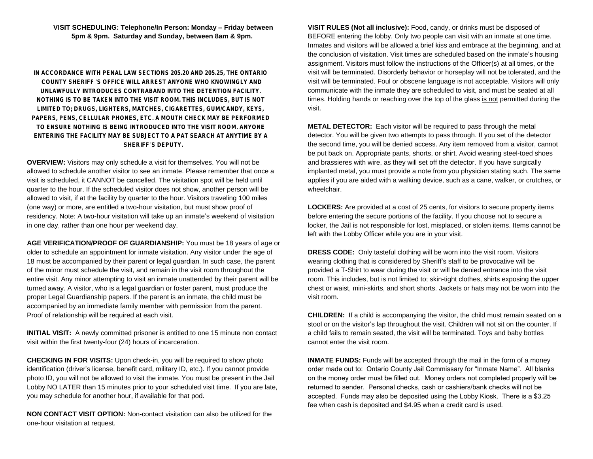**VISIT SCHEDULING: Telephone/In Person: Monday – Friday between 5pm & 9pm. Saturday and Sunday, between 8am & 9pm.**

**IN ACCORDANCE WITH PENAL LAW SECTIONS 205.20 AND 205.25, THE ONTARIO COUNTY SHERIFF** '**S OFFICE WILL ARREST ANYONE WHO KNOWINGLY AND UNLAWFULLY INTRODUCES CONTRABAND INTO THE DETENTION FACILITY. NOTHING IS TO BE TAKEN INTO THE VISIT ROOM. THIS INCLUDES, BUT IS NOT LIMITED TO; DRUGS, LIGHTERS, MATCHES, CIGARETTES, GUM/CANDY, KEYS, PAPERS, PENS, CELLULAR PHONES, ETC. A MOUTH CHECK MAY BE PERFORMED TO ENSURE NOTHING IS BEING INTRODUCED INTO THE VISIT ROOM. ANYONE ENTERING THE FACILITY MAY BE SUBJECT TO A PAT SEARCH AT ANYTIME BY A SHERIFF**'**S DEPUTY.**

**OVERVIEW:** Visitors may only schedule a visit for themselves. You will not be allowed to schedule another visitor to see an inmate. Please remember that once a visit is scheduled, it CANNOT be cancelled. The visitation spot will be held until quarter to the hour. If the scheduled visitor does not show, another person will be allowed to visit, if at the facility by quarter to the hour. Visitors traveling 100 miles (one way) or more, are entitled a two-hour visitation, but must show proof of residency. Note: A two-hour visitation will take up an inmate's weekend of visitation in one day, rather than one hour per weekend day.

**AGE VERIFICATION/PROOF OF GUARDIANSHIP:** You must be 18 years of age or older to schedule an appointment for inmate visitation. Any visitor under the age of 18 must be accompanied by their parent or legal guardian. In such case, the parent of the minor must schedule the visit, and remain in the visit room throughout the entire visit. Any minor attempting to visit an inmate unattended by their parent will be turned away. A visitor, who is a legal guardian or foster parent, must produce the proper Legal Guardianship papers. If the parent is an inmate, the child must be accompanied by an immediate family member with permission from the parent. Proof of relationship will be required at each visit.

**INITIAL VISIT:** A newly committed prisoner is entitled to one 15 minute non contact visit within the first twenty-four (24) hours of incarceration.

**CHECKING IN FOR VISITS:** Upon check-in, you will be required to show photo identification (driver's license, benefit card, military ID, etc.). If you cannot provide photo ID, you will not be allowed to visit the inmate. You must be present in the Jail Lobby NO LATER than 15 minutes prior to your scheduled visit time. If you are late, you may schedule for another hour, if available for that pod.

**NON CONTACT VISIT OPTION:** Non-contact visitation can also be utilized for the one-hour visitation at request.

**VISIT RULES (Not all inclusive):** Food, candy, or drinks must be disposed of BEFORE entering the lobby. Only two people can visit with an inmate at one time. Inmates and visitors will be allowed a brief kiss and embrace at the beginning, and at the conclusion of visitation. Visit times are scheduled based on the inmate's housing assignment. Visitors must follow the instructions of the Officer(s) at all times, or the visit will be terminated. Disorderly behavior or horseplay will not be tolerated, and the visit will be terminated. Foul or obscene language is not acceptable. Visitors will only communicate with the inmate they are scheduled to visit, and must be seated at all times. Holding hands or reaching over the top of the glass is not permitted during the visit.

**METAL DETECTOR:** Each visitor will be required to pass through the metal detector. You will be given two attempts to pass through. If you set of the detector the second time, you will be denied access. Any item removed from a visitor, cannot be put back on. Appropriate pants, shorts, or shirt. Avoid wearing steel-toed shoes and brassieres with wire, as they will set off the detector. If you have surgically implanted metal, you must provide a note from you physician stating such. The same applies if you are aided with a walking device, such as a cane, walker, or crutches, or wheelchair.

**LOCKERS:** Are provided at a cost of 25 cents, for visitors to secure property items before entering the secure portions of the facility. If you choose not to secure a locker, the Jail is not responsible for lost, misplaced, or stolen items. Items cannot be left with the Lobby Officer while you are in your visit.

**DRESS CODE:** Only tasteful clothing will be worn into the visit room. Visitors wearing clothing that is considered by Sheriff's staff to be provocative will be provided a T-Shirt to wear during the visit or will be denied entrance into the visit room. This includes, but is not limited to; skin-tight clothes, shirts exposing the upper chest or waist, mini-skirts, and short shorts. Jackets or hats may not be worn into the visit room.

**CHILDREN:** If a child is accompanying the visitor, the child must remain seated on a stool or on the visitor's lap throughout the visit. Children will not sit on the counter. If a child fails to remain seated, the visit will be terminated. Toys and baby bottles cannot enter the visit room.

**INMATE FUNDS:** Funds will be accepted through the mail in the form of a money order made out to: Ontario County Jail Commissary for "Inmate Name". All blanks on the money order must be filled out. Money orders not completed properly will be returned to sender. Personal checks, cash or cashiers/bank checks will not be accepted. Funds may also be deposited using the Lobby Kiosk. There is a \$3.25 fee when cash is deposited and \$4.95 when a credit card is used.